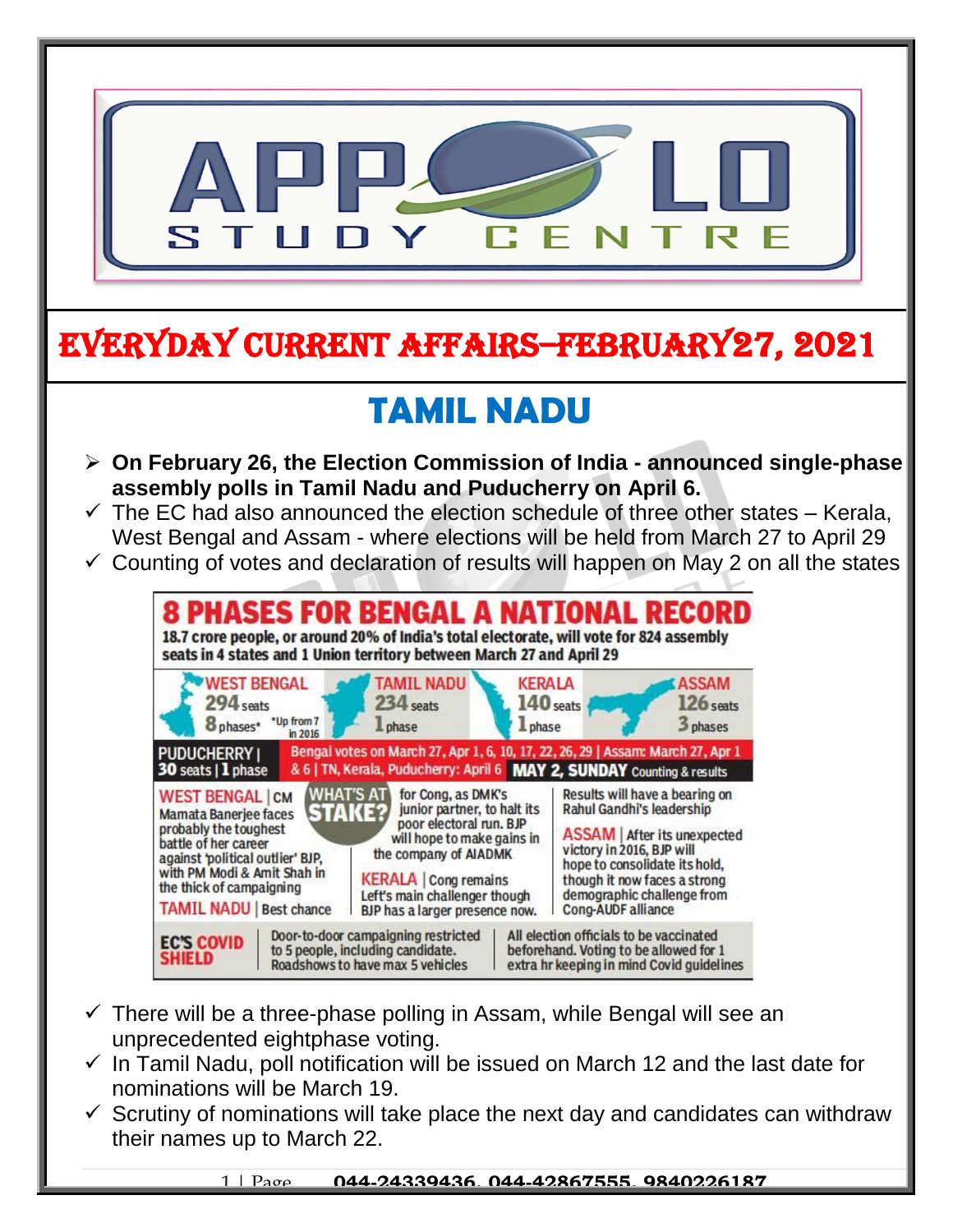

- $\checkmark$  There will be a three-phase polling in Assam, while Bengal will see an unprecedented eightphase voting.
- $\checkmark$  In Tamil Nadu, poll notification will be issued on March 12 and the last date for nominations will be March 19.
- $\checkmark$  Scrutiny of nominations will take place the next day and candidates can withdraw their names up to March 22.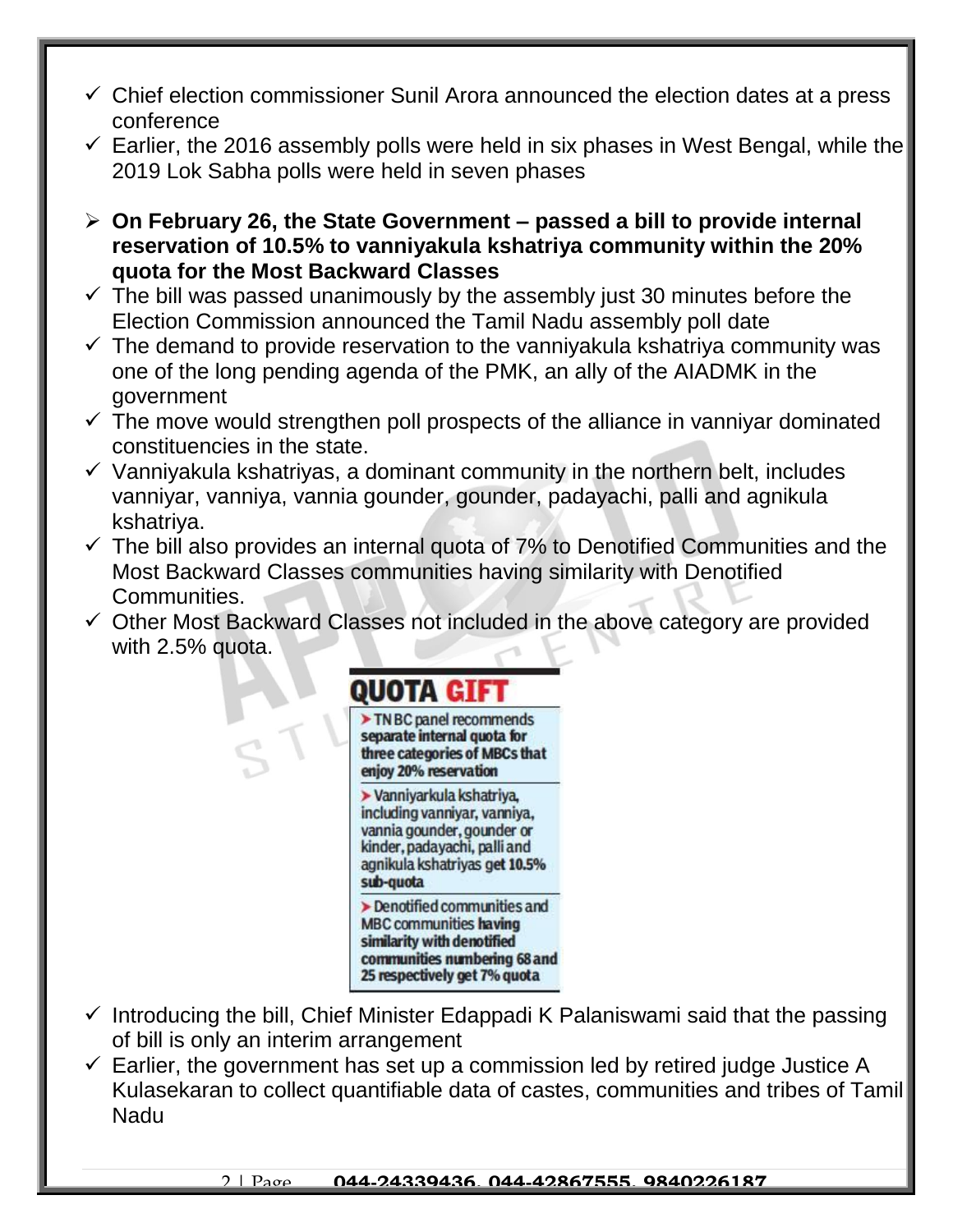- $\checkmark$  Chief election commissioner Sunil Arora announced the election dates at a press conference
- $\checkmark$  Earlier, the 2016 assembly polls were held in six phases in West Bengal, while the 2019 Lok Sabha polls were held in seven phases
- **On February 26, the State Government – passed a bill to provide internal reservation of 10.5% to vanniyakula kshatriya community within the 20% quota for the Most Backward Classes**
- $\checkmark$  The bill was passed unanimously by the assembly just 30 minutes before the Election Commission announced the Tamil Nadu assembly poll date
- $\checkmark$  The demand to provide reservation to the vanniyakula kshatriya community was one of the long pending agenda of the PMK, an ally of the AIADMK in the government
- $\checkmark$  The move would strengthen poll prospects of the alliance in vanniyar dominated constituencies in the state.
- $\checkmark$  Vanniyakula kshatriyas, a dominant community in the northern belt, includes vanniyar, vanniya, vannia gounder, gounder, padayachi, palli and agnikula kshatriya.
- $\checkmark$  The bill also provides an internal quota of 7% to Denotified Communities and the Most Backward Classes communities having similarity with Denotified Communities.
- $\checkmark$  Other Most Backward Classes not included in the above category are provided with 2.5% quota.

## OUOTA GII

TN BC panel recommends separate internal quota for three categories of MBCs that enjoy 20% reservation

> Vanniyarkula kshatriya, including vanniyar, vanniya, vannia gounder, gounder or kinder, padayachi, palli and agnikula kshatriyas get 10.5% sub-quota

 $\triangleright$  Denotified communities and **MBC communities having** similarity with denotified communities numbering 68 and 25 respectively get 7% quota

- $\checkmark$  Introducing the bill, Chief Minister Edappadi K Palaniswami said that the passing of bill is only an interim arrangement
- $\checkmark$  Earlier, the government has set up a commission led by retired judge Justice A Kulasekaran to collect quantifiable data of castes, communities and tribes of Tamil Nadu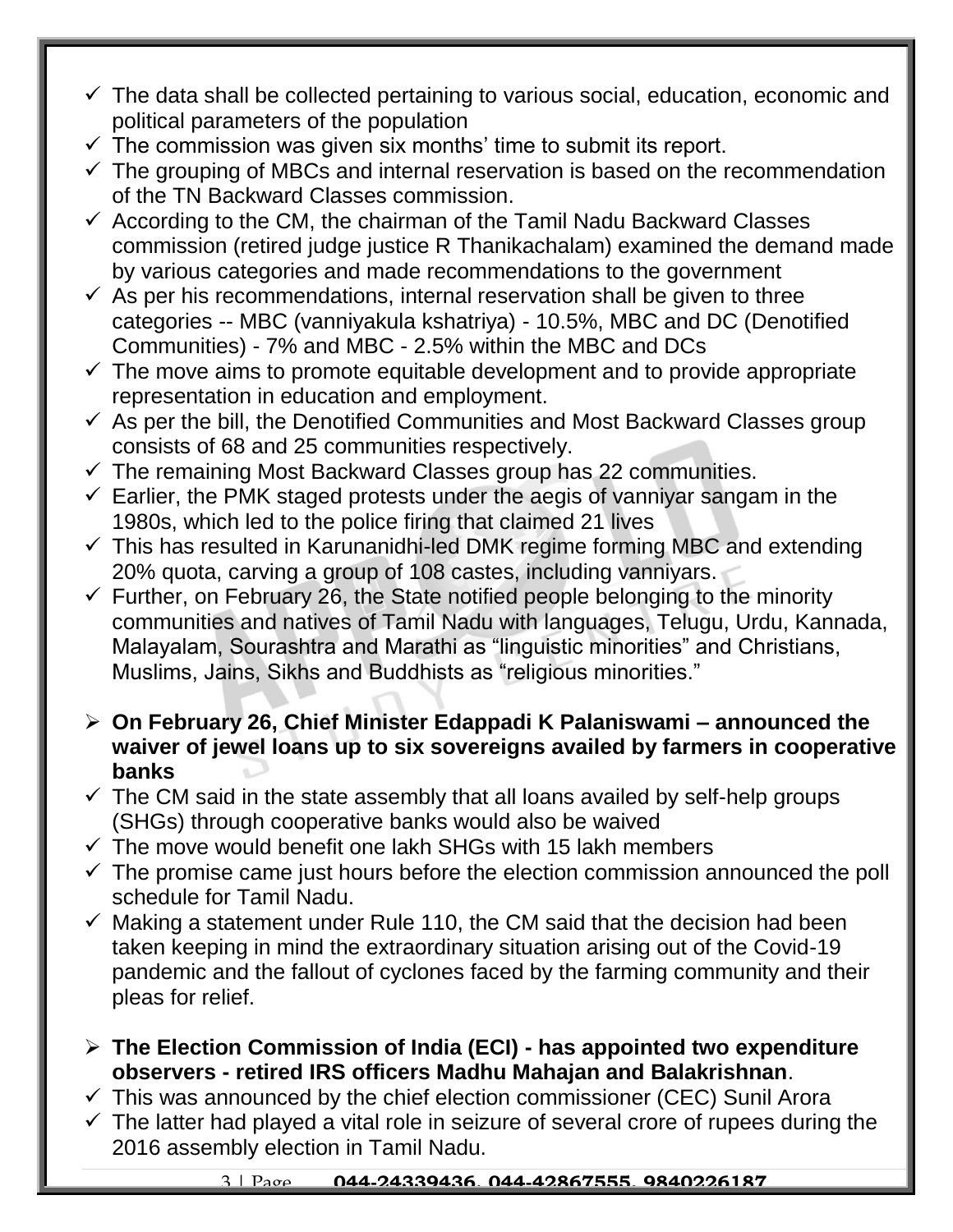- $\checkmark$  The data shall be collected pertaining to various social, education, economic and political parameters of the population
- $\checkmark$  The commission was given six months' time to submit its report.
- $\checkmark$  The grouping of MBCs and internal reservation is based on the recommendation of the TN Backward Classes commission.
- $\checkmark$  According to the CM, the chairman of the Tamil Nadu Backward Classes commission (retired judge justice R Thanikachalam) examined the demand made by various categories and made recommendations to the government
- $\checkmark$  As per his recommendations, internal reservation shall be given to three categories -- MBC (vanniyakula kshatriya) - 10.5%, MBC and DC (Denotified Communities) - 7% and MBC - 2.5% within the MBC and DCs
- $\checkmark$  The move aims to promote equitable development and to provide appropriate representation in education and employment.
- $\checkmark$  As per the bill, the Denotified Communities and Most Backward Classes group consists of 68 and 25 communities respectively.
- $\checkmark$  The remaining Most Backward Classes group has 22 communities.
- $\checkmark$  Earlier, the PMK staged protests under the aegis of vanniyar sangam in the 1980s, which led to the police firing that claimed 21 lives
- $\checkmark$  This has resulted in Karunanidhi-led DMK regime forming MBC and extending 20% quota, carving a group of 108 castes, including vanniyars.
- $\checkmark$  Further, on February 26, the State notified people belonging to the minority communities and natives of Tamil Nadu with languages, Telugu, Urdu, Kannada, Malayalam, Sourashtra and Marathi as "linguistic minorities" and Christians, Muslims, Jains, Sikhs and Buddhists as "religious minorities."
- **On February 26, Chief Minister Edappadi K Palaniswami – announced the waiver of jewel loans up to six sovereigns availed by farmers in cooperative banks**
- $\checkmark$  The CM said in the state assembly that all loans availed by self-help groups (SHGs) through cooperative banks would also be waived
- $\checkmark$  The move would benefit one lakh SHGs with 15 lakh members
- $\checkmark$  The promise came just hours before the election commission announced the poll schedule for Tamil Nadu.
- $\checkmark$  Making a statement under Rule 110, the CM said that the decision had been taken keeping in mind the extraordinary situation arising out of the Covid-19 pandemic and the fallout of cyclones faced by the farming community and their pleas for relief.
- **The Election Commission of India (ECI) - has appointed two expenditure observers - retired IRS officers Madhu Mahajan and Balakrishnan**.
- $\checkmark$  This was announced by the chief election commissioner (CEC) Sunil Arora
- $\checkmark$  The latter had played a vital role in seizure of several crore of rupees during the 2016 assembly election in Tamil Nadu.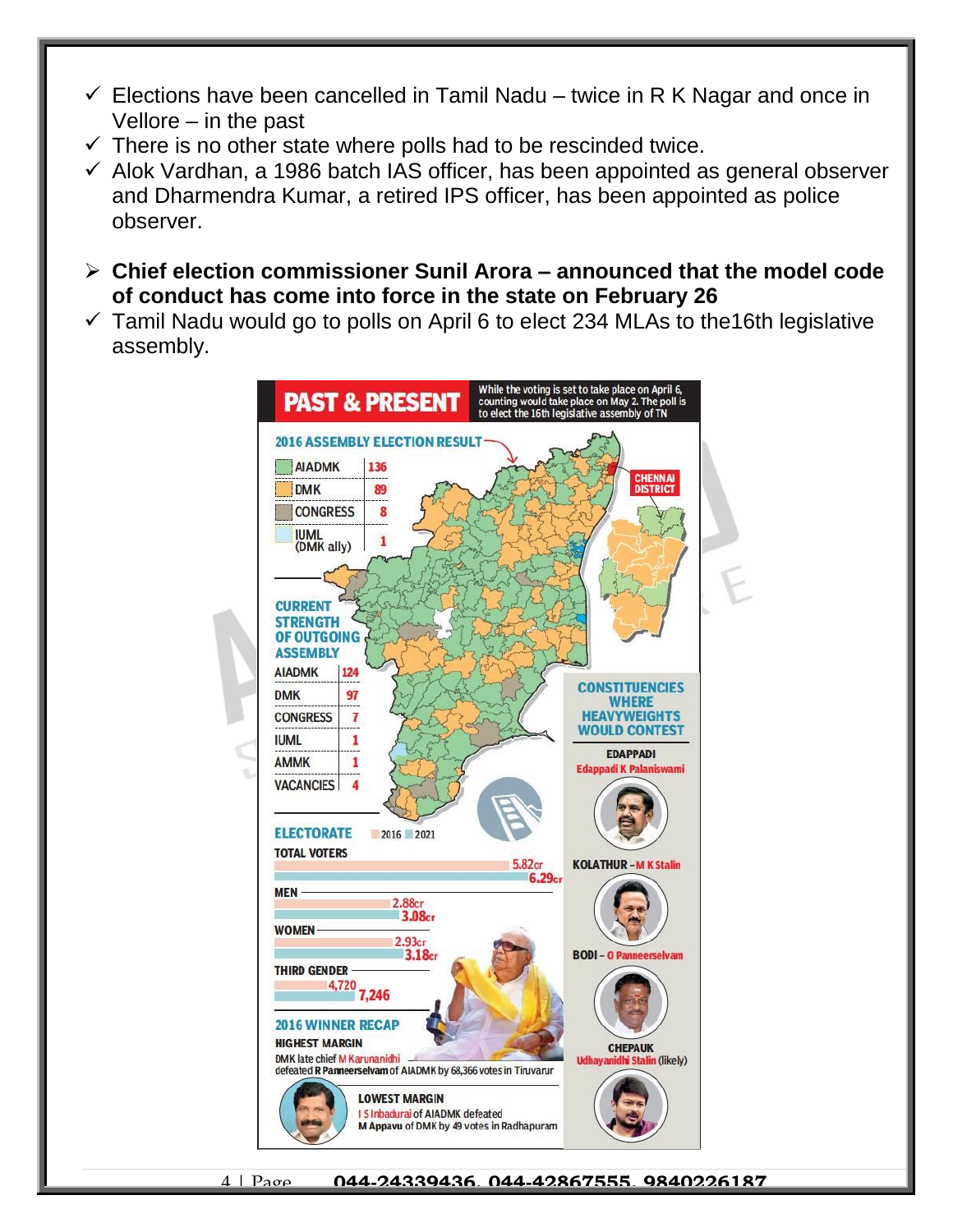- $\checkmark$  Elections have been cancelled in Tamil Nadu twice in R K Nagar and once in Vellore – in the past
- $\checkmark$  There is no other state where polls had to be rescinded twice.
- $\checkmark$  Alok Vardhan, a 1986 batch IAS officer, has been appointed as general observer and Dharmendra Kumar, a retired IPS officer, has been appointed as police observer.
- **Chief election commissioner Sunil Arora – announced that the model code of conduct has come into force in the state on February 26**
- $\checkmark$  Tamil Nadu would go to polls on April 6 to elect 234 MLAs to the 16th legislative assembly.

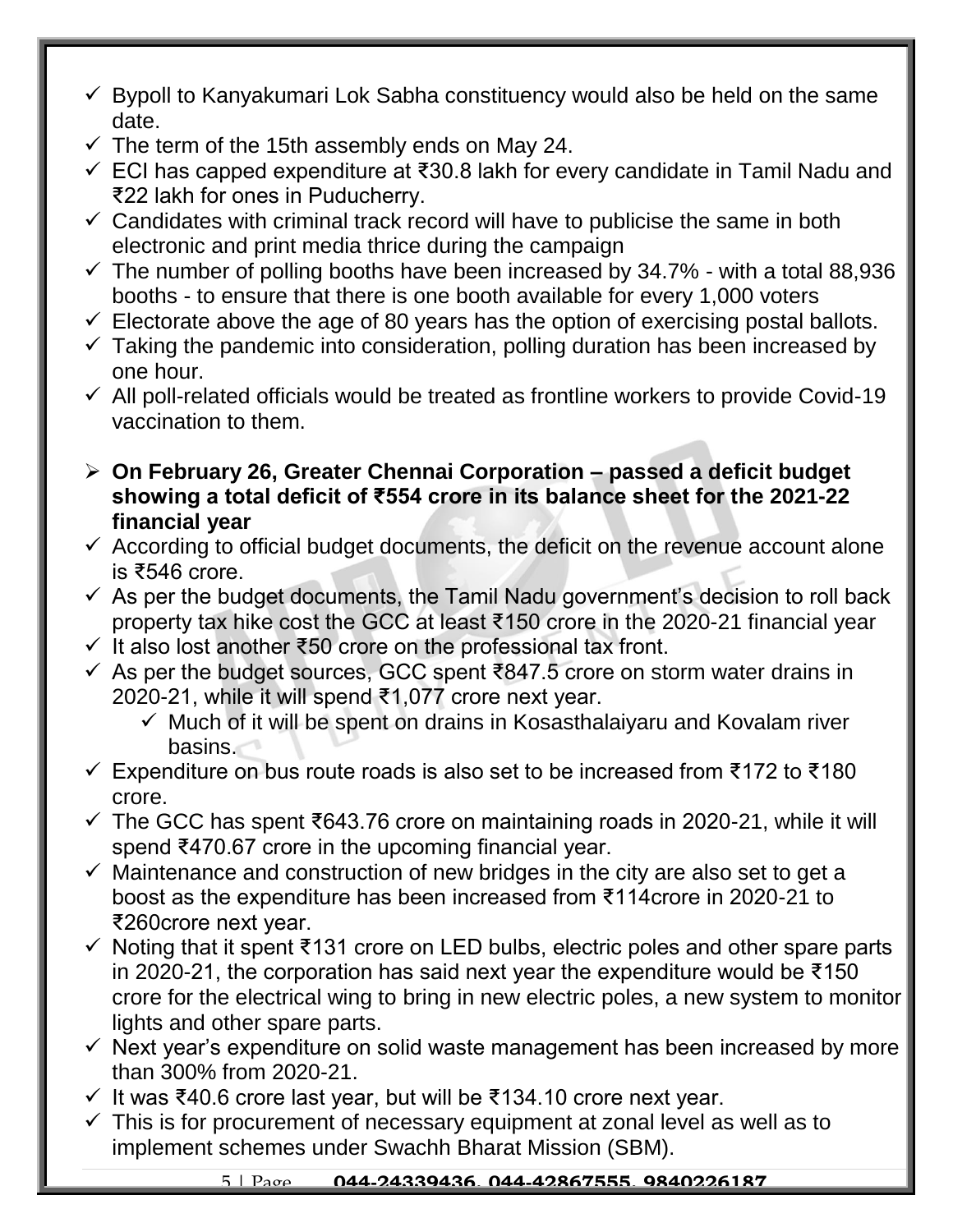- $\checkmark$  Bypoll to Kanyakumari Lok Sabha constituency would also be held on the same date.
- $\checkmark$  The term of the 15th assembly ends on May 24.
- ECI has capped expenditure at ₹30.8 lakh for every candidate in Tamil Nadu and ₹22 lakh for ones in Puducherry.
- $\checkmark$  Candidates with criminal track record will have to publicise the same in both electronic and print media thrice during the campaign
- $\checkmark$  The number of polling booths have been increased by 34.7% with a total 88,936 booths - to ensure that there is one booth available for every 1,000 voters
- $\checkmark$  Electorate above the age of 80 years has the option of exercising postal ballots.
- $\checkmark$  Taking the pandemic into consideration, polling duration has been increased by one hour.
- $\checkmark$  All poll-related officials would be treated as frontline workers to provide Covid-19 vaccination to them.
- **On February 26, Greater Chennai Corporation – passed a deficit budget showing a total deficit of ₹554 crore in its balance sheet for the 2021-22 financial year**
- $\checkmark$  According to official budget documents, the deficit on the revenue account alone is ₹546 crore.
- $\checkmark$  As per the budget documents, the Tamil Nadu government's decision to roll back property tax hike cost the GCC at least ₹150 crore in the 2020-21 financial year
- $\checkmark$  It also lost another ₹50 crore on the professional tax front.
- As per the budget sources, GCC spent ₹847.5 crore on storm water drains in 2020-21, while it will spend ₹1,077 crore next year.
	- $\checkmark$  Much of it will be spent on drains in Kosasthalaiyaru and Kovalam river basins.
- Expenditure on bus route roads is also set to be increased from ₹172 to ₹180 crore.
- The GCC has spent ₹643.76 crore on maintaining roads in 2020-21, while it will spend ₹470.67 crore in the upcoming financial year.
- $\checkmark$  Maintenance and construction of new bridges in the city are also set to get a boost as the expenditure has been increased from ₹114crore in 2020-21 to ₹260crore next year.
- $\checkmark$  Noting that it spent ₹131 crore on LED bulbs, electric poles and other spare parts in 2020-21, the corporation has said next year the expenditure would be ₹150 crore for the electrical wing to bring in new electric poles, a new system to monitor lights and other spare parts.
- $\checkmark$  Next year's expenditure on solid waste management has been increased by more than 300% from 2020-21.
- $\checkmark$  It was ₹40.6 crore last year, but will be ₹134.10 crore next year.
- $\checkmark$  This is for procurement of necessary equipment at zonal level as well as to implement schemes under Swachh Bharat Mission (SBM).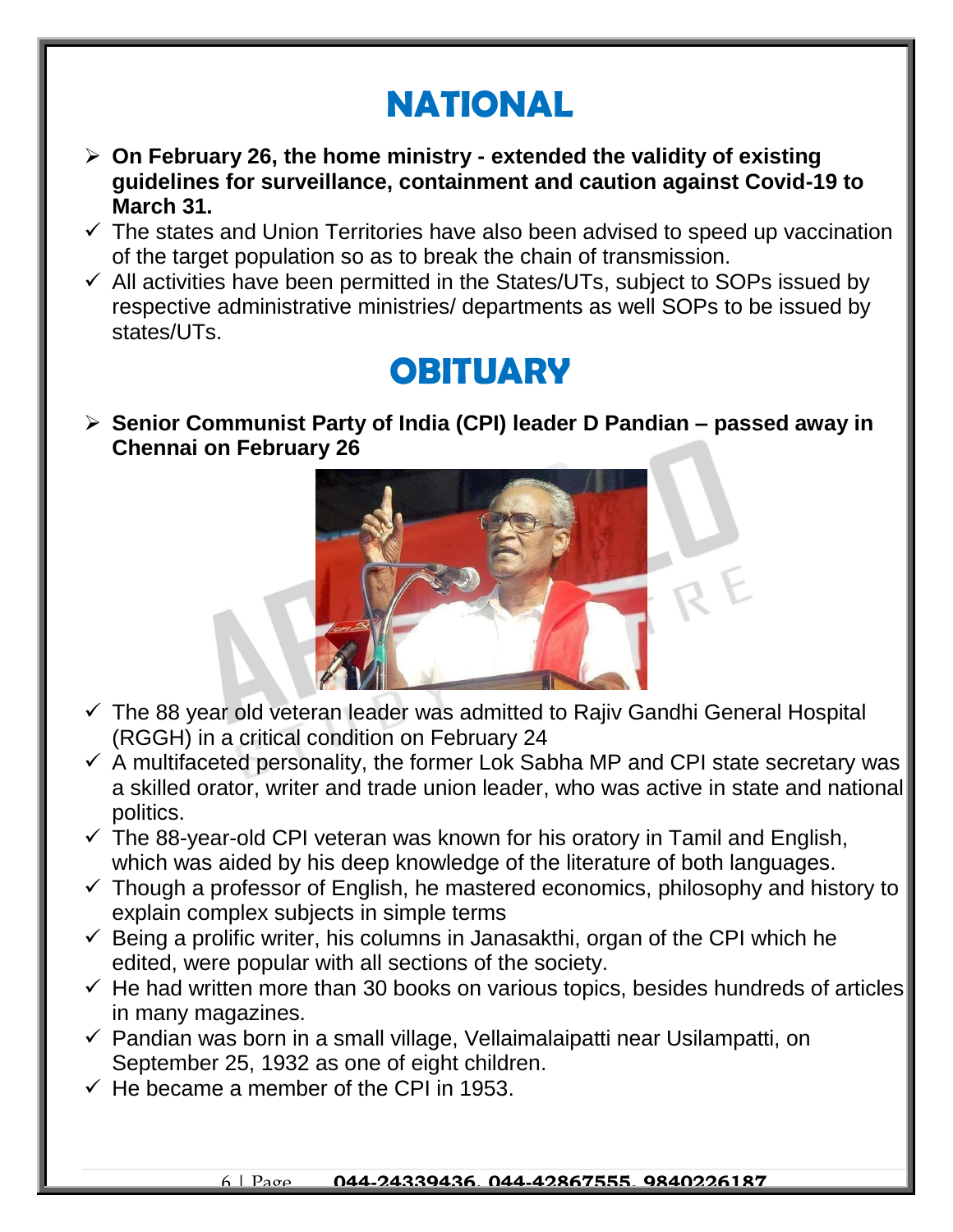## **NATIONAL**

- **On February 26, the home ministry - extended the validity of existing guidelines for surveillance, containment and caution against Covid-19 to March 31.**
- $\checkmark$  The states and Union Territories have also been advised to speed up vaccination of the target population so as to break the chain of transmission.
- $\checkmark$  All activities have been permitted in the States/UTs, subject to SOPs issued by respective administrative ministries/ departments as well SOPs to be issued by states/UTs.

## **OBITUARY**

 **Senior Communist Party of India (CPI) leader D Pandian – passed away in Chennai on February 26**



- $\checkmark$  The 88 year old veteran leader was admitted to Rajiv Gandhi General Hospital (RGGH) in a critical condition on February 24
- $\checkmark$  A multifaceted personality, the former Lok Sabha MP and CPI state secretary was a skilled orator, writer and trade union leader, who was active in state and national politics.
- $\checkmark$  The 88-year-old CPI veteran was known for his oratory in Tamil and English, which was aided by his deep knowledge of the literature of both languages.
- $\checkmark$  Though a professor of English, he mastered economics, philosophy and history to explain complex subjects in simple terms
- $\checkmark$  Being a prolific writer, his columns in Janasakthi, organ of the CPI which he edited, were popular with all sections of the society.
- $\checkmark$  He had written more than 30 books on various topics, besides hundreds of articles in many magazines.
- $\checkmark$  Pandian was born in a small village, Vellaimalaipatti near Usilampatti, on September 25, 1932 as one of eight children.
- $\checkmark$  He became a member of the CPI in 1953.